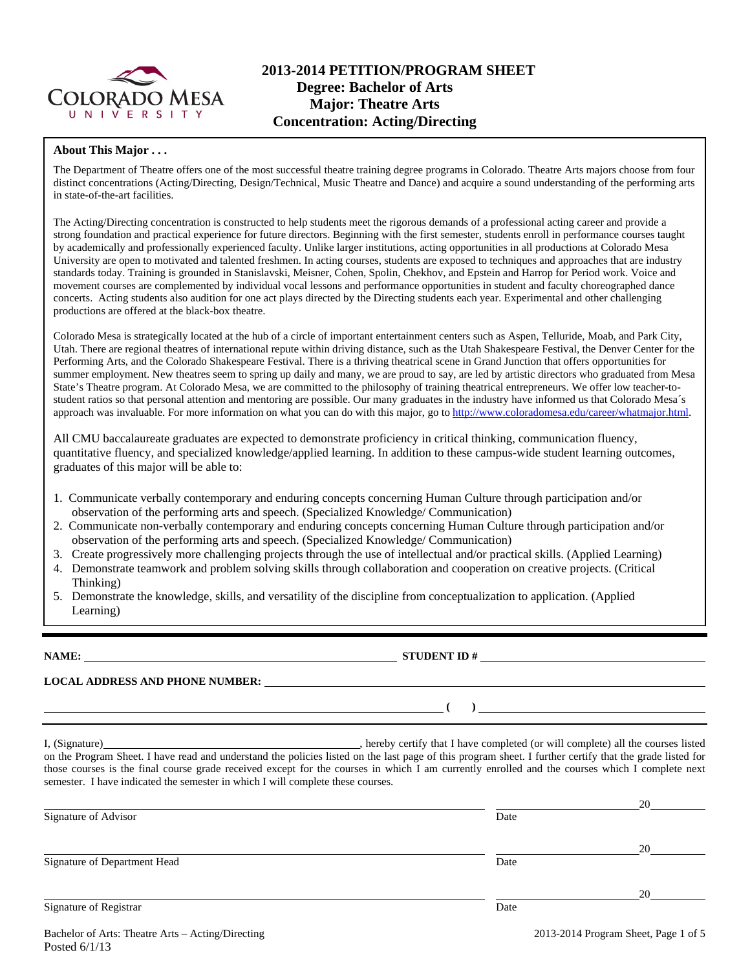

#### **About This Major . . .**

The Department of Theatre offers one of the most successful theatre training degree programs in Colorado. Theatre Arts majors choose from four distinct concentrations (Acting/Directing, Design/Technical, Music Theatre and Dance) and acquire a sound understanding of the performing arts in state-of-the-art facilities.

The Acting/Directing concentration is constructed to help students meet the rigorous demands of a professional acting career and provide a strong foundation and practical experience for future directors. Beginning with the first semester, students enroll in performance courses taught by academically and professionally experienced faculty. Unlike larger institutions, acting opportunities in all productions at Colorado Mesa University are open to motivated and talented freshmen. In acting courses, students are exposed to techniques and approaches that are industry standards today. Training is grounded in Stanislavski, Meisner, Cohen, Spolin, Chekhov, and Epstein and Harrop for Period work. Voice and movement courses are complemented by individual vocal lessons and performance opportunities in student and faculty choreographed dance concerts. Acting students also audition for one act plays directed by the Directing students each year. Experimental and other challenging productions are offered at the black-box theatre.

Colorado Mesa is strategically located at the hub of a circle of important entertainment centers such as Aspen, Telluride, Moab, and Park City, Utah. There are regional theatres of international repute within driving distance, such as the Utah Shakespeare Festival, the Denver Center for the Performing Arts, and the Colorado Shakespeare Festival. There is a thriving theatrical scene in Grand Junction that offers opportunities for summer employment. New theatres seem to spring up daily and many, we are proud to say, are led by artistic directors who graduated from Mesa State's Theatre program. At Colorado Mesa, we are committed to the philosophy of training theatrical entrepreneurs. We offer low teacher-tostudent ratios so that personal attention and mentoring are possible. Our many graduates in the industry have informed us that Colorado Mesa´s approach was invaluable. For more information on what you can do with this major, go to http://www.coloradomesa.edu/career/whatmajor.html.

All CMU baccalaureate graduates are expected to demonstrate proficiency in critical thinking, communication fluency, quantitative fluency, and specialized knowledge/applied learning. In addition to these campus-wide student learning outcomes, graduates of this major will be able to:

- 1. Communicate verbally contemporary and enduring concepts concerning Human Culture through participation and/or observation of the performing arts and speech. (Specialized Knowledge/ Communication)
- 2. Communicate non-verbally contemporary and enduring concepts concerning Human Culture through participation and/or observation of the performing arts and speech. (Specialized Knowledge/ Communication)
- 3. Create progressively more challenging projects through the use of intellectual and/or practical skills. (Applied Learning)
- 4. Demonstrate teamwork and problem solving skills through collaboration and cooperation on creative projects. (Critical Thinking)
- 5. Demonstrate the knowledge, skills, and versatility of the discipline from conceptualization to application. (Applied Learning)

**NAME: STUDENT ID #**

**LOCAL ADDRESS AND PHONE NUMBER:**

 **( )** 

I, (Signature) , hereby certify that I have completed (or will complete) all the courses listed on the Program Sheet. I have read and understand the policies listed on the last page of this program sheet. I further certify that the grade listed for those courses is the final course grade received except for the courses in which I am currently enrolled and the courses which I complete next semester. I have indicated the semester in which I will complete these courses.

|                              |      | 20 |
|------------------------------|------|----|
| Signature of Advisor         | Date |    |
|                              |      |    |
|                              |      | 20 |
| Signature of Department Head | Date |    |
|                              |      |    |
|                              |      | 20 |
| Signature of Registrar       | Date |    |
|                              |      |    |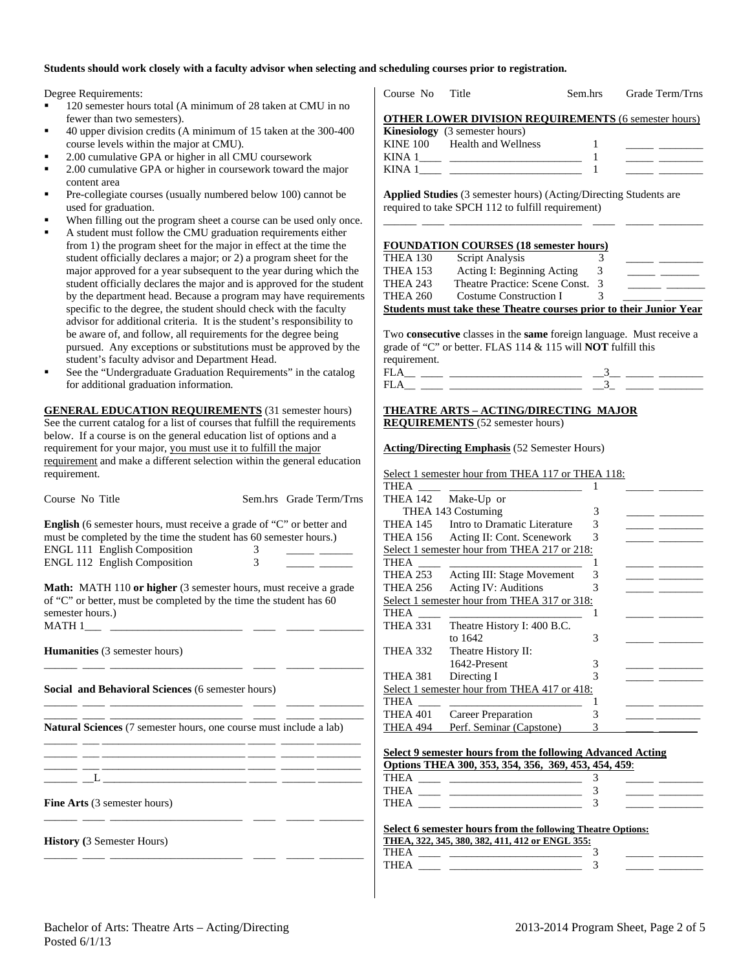#### **Students should work closely with a faculty advisor when selecting and scheduling courses prior to registration.**

Degree Requirements:

- <sup>120</sup> semester hours total (A minimum of 28 taken at CMU in no fewer than two semesters).
- 40 upper division credits (A minimum of 15 taken at the 300-400 course levels within the major at CMU).
- 2.00 cumulative GPA or higher in all CMU coursework
- 2.00 cumulative GPA or higher in coursework toward the major content area
- Pre-collegiate courses (usually numbered below 100) cannot be used for graduation.
- When filling out the program sheet a course can be used only once.
- A student must follow the CMU graduation requirements either from 1) the program sheet for the major in effect at the time the student officially declares a major; or 2) a program sheet for the major approved for a year subsequent to the year during which the student officially declares the major and is approved for the student by the department head. Because a program may have requirements specific to the degree, the student should check with the faculty advisor for additional criteria. It is the student's responsibility to be aware of, and follow, all requirements for the degree being pursued. Any exceptions or substitutions must be approved by the student's faculty advisor and Department Head.
- See the "Undergraduate Graduation Requirements" in the catalog for additional graduation information.

**GENERAL EDUCATION REQUIREMENTS** (31 semester hours) See the current catalog for a list of courses that fulfill the requirements below. If a course is on the general education list of options and a requirement for your major, you must use it to fulfill the major requirement and make a different selection within the general education requirement.

| Course No Title                                                                                                                                                                                                         |        | Sem.hrs Grade Term/Trns |
|-------------------------------------------------------------------------------------------------------------------------------------------------------------------------------------------------------------------------|--------|-------------------------|
| <b>English</b> (6 semester hours, must receive a grade of "C" or better and<br>must be completed by the time the student has 60 semester hours.)<br><b>ENGL 111 English Composition</b><br>ENGL 112 English Composition | 3<br>3 |                         |
| <b>Math:</b> MATH 110 or higher (3 semester hours, must receive a grade<br>of "C" or better, must be completed by the time the student has 60<br>semester hours.)                                                       |        |                         |
| <b>Humanities</b> (3 semester hours)                                                                                                                                                                                    |        |                         |
| Social and Behavioral Sciences (6 semester hours)                                                                                                                                                                       |        |                         |
| <b>Natural Sciences</b> (7 semester hours, one course must include a lab)                                                                                                                                               |        |                         |
| <u> 1981 - Jan James James James James James James James James James James James James James James James James J</u>                                                                                                    |        |                         |
| <b>Fine Arts</b> (3 semester hours)                                                                                                                                                                                     |        |                         |
| <b>History</b> (3 Semester Hours)<br>- -                                                                                                                                                                                |        |                         |

|                 | Course No Title                                                                                                                                                                                                                         |               | Sem.hrs Grade Term/Trns                                                                                               |
|-----------------|-----------------------------------------------------------------------------------------------------------------------------------------------------------------------------------------------------------------------------------------|---------------|-----------------------------------------------------------------------------------------------------------------------|
|                 | <b>OTHER LOWER DIVISION REQUIREMENTS (6 semester hours)</b>                                                                                                                                                                             |               |                                                                                                                       |
|                 | <b>Kinesiology</b> (3 semester hours)                                                                                                                                                                                                   |               |                                                                                                                       |
|                 | KINE 100 Health and Wellness                                                                                                                                                                                                            | 1             |                                                                                                                       |
|                 | KINA 1 <sup>2</sup> 22 22 22 23 24 25 26 27 28 29 20 21 22 23 23 24 25 26 27 28 27 28 27 28 27 28 27 28 27 28 27 28 27 28 27 28 27 28 27 28 27 28 27 28 27 28 27 28 27 28 27 28 27 28 27 28 27 28 27 28 27 28 27 28 27 28 27 28 27 28 2 |               |                                                                                                                       |
|                 | KINA $1 \_$ $\_$                                                                                                                                                                                                                        |               | <u> 1989 - John Barn Barn, mars and de Branch Barn, mars and de Branch Barn, mars and de Branch Barn, mars and de</u> |
|                 | Applied Studies (3 semester hours) (Acting/Directing Students are                                                                                                                                                                       |               |                                                                                                                       |
|                 | required to take SPCH 112 to fulfill requirement)                                                                                                                                                                                       |               |                                                                                                                       |
|                 |                                                                                                                                                                                                                                         |               |                                                                                                                       |
|                 |                                                                                                                                                                                                                                         |               |                                                                                                                       |
| <b>THEA 130</b> | <b>FOUNDATION COURSES (18 semester hours)</b><br><b>Script Analysis</b>                                                                                                                                                                 | 3             |                                                                                                                       |
|                 | THEA 153 Acting I: Beginning Acting 3                                                                                                                                                                                                   |               |                                                                                                                       |
|                 | THEA 243 Theatre Practice: Scene Const. 3                                                                                                                                                                                               |               |                                                                                                                       |
| THEA 260        | Costume Construction I                                                                                                                                                                                                                  | $\mathcal{F}$ |                                                                                                                       |
|                 |                                                                                                                                                                                                                                         |               |                                                                                                                       |
|                 |                                                                                                                                                                                                                                         |               |                                                                                                                       |
|                 | <b>Students must take these Theatre courses prior to their Junior Year</b>                                                                                                                                                              |               |                                                                                                                       |
|                 |                                                                                                                                                                                                                                         |               |                                                                                                                       |
|                 | Two consecutive classes in the same foreign language. Must receive a                                                                                                                                                                    |               |                                                                                                                       |
|                 | grade of "C" or better. FLAS 114 & 115 will NOT fulfill this                                                                                                                                                                            |               |                                                                                                                       |
| requirement.    |                                                                                                                                                                                                                                         |               |                                                                                                                       |
|                 |                                                                                                                                                                                                                                         |               |                                                                                                                       |
|                 | $\begin{tabular}{c} \bf FLA\_ & \textcolor{red}{\textbf{II}} & \textcolor{red}{\textbf{0.333}} \\ \bf FLA\_ & \textcolor{red}{\textbf{III}} & \textcolor{red}{\textbf{0.333}} \\ \bf \end{tabular}$                                     |               |                                                                                                                       |
|                 | <b>THEATRE ARTS - ACTING/DIRECTING MAJOR</b>                                                                                                                                                                                            |               |                                                                                                                       |
|                 | <b>REQUIREMENTS</b> (52 semester hours)                                                                                                                                                                                                 |               |                                                                                                                       |
|                 |                                                                                                                                                                                                                                         |               |                                                                                                                       |
|                 | <b>Acting/Directing Emphasis (52 Semester Hours)</b>                                                                                                                                                                                    |               |                                                                                                                       |
| THEA ____       | Select 1 semester hour from THEA 117 or THEA 118:                                                                                                                                                                                       |               |                                                                                                                       |

| <b>THEA</b>     |                                              |   |  |
|-----------------|----------------------------------------------|---|--|
| THEA 142        | Make-Up or                                   |   |  |
|                 | THEA 143 Costuming                           | 3 |  |
| <b>THEA 145</b> | Intro to Dramatic Literature                 | 3 |  |
| <b>THEA 156</b> | Acting II: Cont. Scenework                   | 3 |  |
|                 | Select 1 semester hour from THEA 217 or 218: |   |  |
| THEA            |                                              |   |  |
| <b>THEA 253</b> | <b>Acting III: Stage Movement</b>            | 3 |  |
| THEA 256        | Acting IV: Auditions                         |   |  |
|                 | Select 1 semester hour from THEA 317 or 318: |   |  |
| THEA            |                                              |   |  |
| <b>THEA 331</b> | Theatre History I: 400 B.C.                  |   |  |
|                 | to 1642                                      | 3 |  |
| <b>THEA 332</b> | Theatre History II:                          |   |  |
|                 | 1642-Present                                 | 3 |  |
| <b>THEA 381</b> | Directing I                                  |   |  |
|                 | Select 1 semester hour from THEA 417 or 418: |   |  |
| THEA            |                                              |   |  |
| THEA 401        | Career Preparation                           |   |  |
| THEA 494        | Perf. Seminar (Capstone)                     |   |  |

|                                     | Options THEA 300, 353, 354, 356, 369, 453, 454, 459. |
|-------------------------------------|------------------------------------------------------|
| THEA __ _ __ ______________________ |                                                      |
| THEA _____ _______________________  |                                                      |
| THEA ____ ________________________  |                                                      |

|      | THEA, 322, 345, 380, 382, 411, 412 or ENGL 355: |  |  |
|------|-------------------------------------------------|--|--|
| THFA |                                                 |  |  |
| THEA |                                                 |  |  |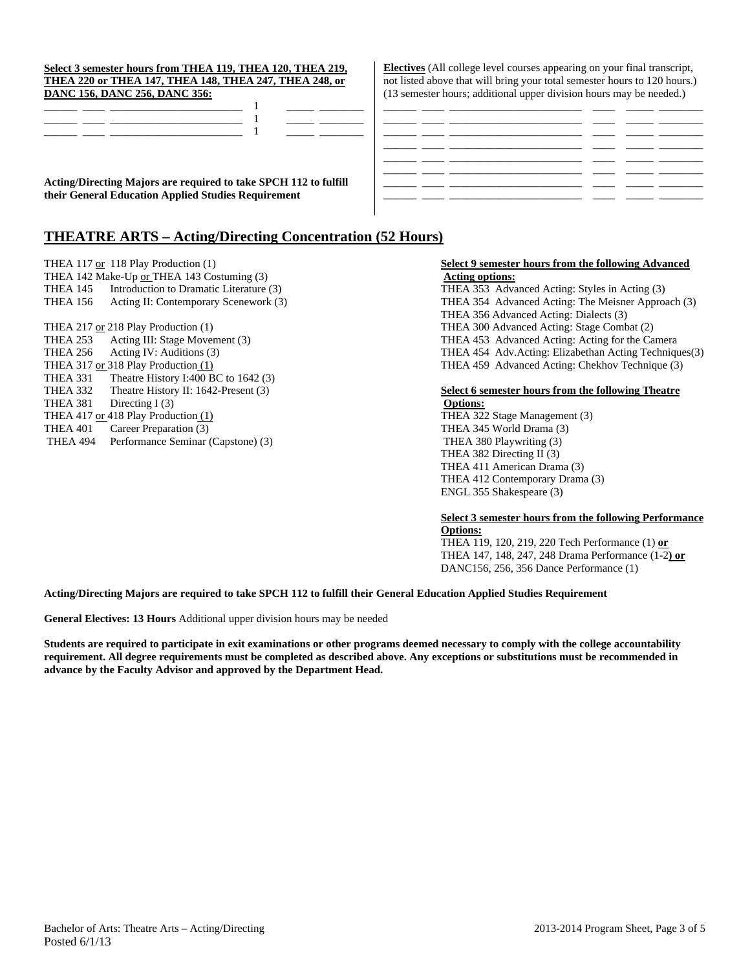|          | THEA 417 OF 418 Play Production (1) |
|----------|-------------------------------------|
| THEA 401 | Career Preparation (3)              |
| THEA 494 | Performance Seminar (Capstone) (3)  |

#### **Select 3 semester hours from THEA 119, THEA 120, THEA 219, THEA 220 or THEA 147, THEA 148, THEA 247, THEA 248, or DANC 156, DANC 256, DANC 356:**

**Acting/Directing Majors are required to take SPCH 112 to fulfill their General Education Applied Studies Requirement** 

# **THEATRE ARTS – Acting/Directing Concentration (52 Hours)**

THEA 142 Make-Up <u>or</u> THEA 143 Costuming (3) **Acting options:** THEA 145 Introduction to Dramatic Literature (3) THEA 353 Advanced Acting: Styles in Acting (3) THEA 217 or 218 Play Production (1) THEA 300 Advanced Acting: Stage Combat (2) THEA 253 Acting III: Stage Movement (3) THEA 453 Advanced Acting: Acting for the Camera THEA 331 Theatre History I:400 BC to 1642 (3) THEA 332 Theatre History II: 1642-Present (3) **Select 6 semester hours from the following Theatre**  THEA 381 Directing I (3) **Options:**<br>THEA 417 or 418 Play Production (1) THEA 322

**Electives** (All college level courses appearing on your final transcript, not listed above that will bring your total semester hours to 120 hours.) (13 semester hours; additional upper division hours may be needed.)

# THEA 117 or 118 Play Production (1) **Select 9 semester hours from the following Advanced**

THEA 156 Acting II: Contemporary Scenework (3) THEA 354 Advanced Acting: The Meisner Approach (3) THEA 356 Advanced Acting: Dialects (3) THEA 256 Acting IV: Auditions (3) THEA 454 Adv.Acting: Elizabethan Acting Techniques(3)<br>THEA 459 Advanced Acting: Chekhov Technique (3) THEA 459 Advanced Acting: Chekhov Technique (3) THEA 459 Advanced Acting: Chekhov Technique (3)

THEA 322 Stage Management (3) THEA 345 World Drama (3) THEA 380 Playwriting (3) THEA 382 Directing II (3) THEA 411 American Drama (3) THEA 412 Contemporary Drama (3) ENGL 355 Shakespeare (3)

#### **Select 3 semester hours from the following Performance Options:**

 THEA 119, 120, 219, 220 Tech Performance (1) **or**  THEA 147, 148, 247, 248 Drama Performance (1-2**) or**  DANC156, 256, 356 Dance Performance (1)

### **Acting/Directing Majors are required to take SPCH 112 to fulfill their General Education Applied Studies Requirement**

**General Electives: 13 Hours** Additional upper division hours may be needed

**Students are required to participate in exit examinations or other programs deemed necessary to comply with the college accountability requirement. All degree requirements must be completed as described above. Any exceptions or substitutions must be recommended in advance by the Faculty Advisor and approved by the Department Head.**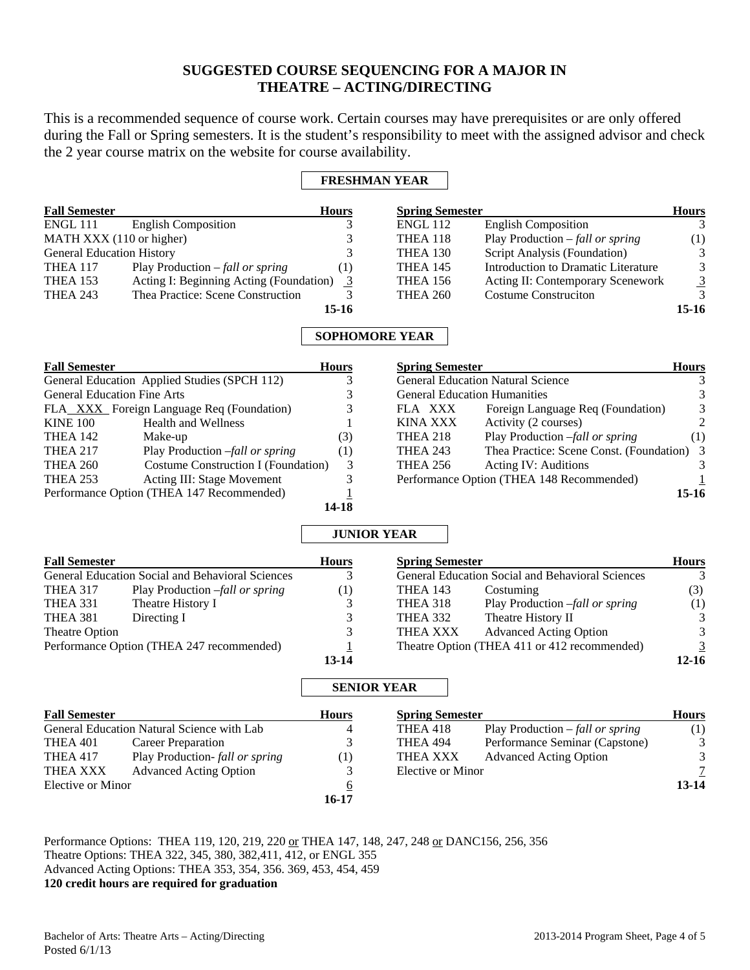# **SUGGESTED COURSE SEQUENCING FOR A MAJOR IN THEATRE – ACTING/DIRECTING**

This is a recommended sequence of course work. Certain courses may have prerequisites or are only offered during the Fall or Spring semesters. It is the student's responsibility to meet with the assigned advisor and check the 2 year course matrix on the website for course availability.

## **FRESHMAN YEAR**

| <b>Fall Semester</b>             |                                          | <b>Hours</b> | <b>Spring Semester</b> |                                     | <b>Hours</b>   |
|----------------------------------|------------------------------------------|--------------|------------------------|-------------------------------------|----------------|
| ENGL 111                         | <b>English Composition</b>               |              | <b>ENGL 112</b>        | <b>English Composition</b>          |                |
| MATH XXX (110 or higher)         |                                          |              | THEA 118               | Play Production $-fall$ or spring   | (1)            |
| <b>General Education History</b> |                                          |              | <b>THEA 130</b>        | Script Analysis (Foundation)        | 3              |
| <b>THEA 117</b>                  | Play Production $-\text{fall or spring}$ | (1)          | <b>THEA 145</b>        | Introduction to Dramatic Literature | 3              |
| THEA 153                         | Acting I: Beginning Acting (Foundation)  | -3           | <b>THEA 156</b>        | Acting II: Contemporary Scenework   | $\overline{3}$ |
| <b>THEA 243</b>                  | Thea Practice: Scene Construction        |              | <b>THEA 260</b>        | <b>Costume Construction</b>         |                |
|                                  |                                          | 15-16        |                        |                                     | 15-16          |

# **SOPHOMORE YEAR**

| <b>Fall Semester</b> |                                              | <b>Hours</b> | <b>Spring Semester</b>              |                                            | <b>Hours</b> |
|----------------------|----------------------------------------------|--------------|-------------------------------------|--------------------------------------------|--------------|
|                      | General Education Applied Studies (SPCH 112) |              |                                     | <b>General Education Natural Science</b>   |              |
|                      | <b>General Education Fine Arts</b>           |              | <b>General Education Humanities</b> |                                            |              |
|                      | FLA_XXX_Foreign Language Req (Foundation)    |              | FLA XXX                             | Foreign Language Req (Foundation)          | 3            |
| <b>KINE 100</b>      | <b>Health and Wellness</b>                   |              | KINA XXX                            | Activity (2 courses)                       | $2^{\circ}$  |
| <b>THEA 142</b>      | Make-up                                      | (3)          | <b>THEA 218</b>                     | Play Production -fall or spring            | (1)          |
| <b>THEA 217</b>      | Play Production -fall or spring              | (1)          | <b>THEA 243</b>                     | Thea Practice: Scene Const. (Foundation) 3 |              |
| <b>THEA 260</b>      | Costume Construction I (Foundation)          |              | <b>THEA 256</b>                     | Acting IV: Auditions                       |              |
| <b>THEA 253</b>      | Acting III: Stage Movement                   |              |                                     | Performance Option (THEA 148 Recommended)  |              |
|                      | Performance Option (THEA 147 Recommended)    |              |                                     |                                            | $15-16$      |
|                      |                                              | 14-18        |                                     |                                            |              |

# **JUNIOR YEAR**

| <b>Fall Semester</b>                                    |                                            | <b>Hours</b>       | <b>Spring Semester</b> |                                                  | <b>Hours</b> |
|---------------------------------------------------------|--------------------------------------------|--------------------|------------------------|--------------------------------------------------|--------------|
| <b>General Education Social and Behavioral Sciences</b> |                                            | 3                  |                        | General Education Social and Behavioral Sciences | 3            |
| <b>THEA 317</b>                                         | Play Production -fall or spring            | $\left(1\right)$   | <b>THEA 143</b>        | Costuming                                        | (3)          |
| <b>THEA 331</b>                                         | Theatre History I                          | 3                  | THEA 318               | Play Production -fall or spring                  | (1)          |
| THEA 381                                                | Directing I                                | 3                  | <b>THEA 332</b>        | Theatre History II                               | 3            |
| Theatre Option                                          |                                            | 3                  | <b>THEA XXX</b>        | <b>Advanced Acting Option</b>                    | 3            |
| Performance Option (THEA 247 recommended)               |                                            |                    |                        | Theatre Option (THEA 411 or 412 recommended)     | 3            |
|                                                         |                                            | $13 - 14$          |                        |                                                  | $12 - 16$    |
|                                                         |                                            | <b>SENIOR YEAR</b> |                        |                                                  |              |
| <b>Fall Semester</b>                                    |                                            | <b>Hours</b>       | <b>Spring Semester</b> |                                                  | <b>Hours</b> |
|                                                         | General Education Natural Science with Lab | 4                  | <b>THEA 418</b>        | Play Production $-\text{fall or spring}$         | (1)          |
| THEA 401                                                | <b>Career Preparation</b>                  | 3                  | <b>THEA 494</b>        | Performance Seminar (Capstone)                   | 3            |
| <b>THEA 417</b>                                         | Play Production- fall or spring            | (1)                | THEA XXX               | <b>Advanced Acting Option</b>                    | 3            |
| <b>THEA XXX</b>                                         | <b>Advanced Acting Option</b>              | 3                  | Elective or Minor      |                                                  |              |
| Elective or Minor                                       | <u>6</u>                                   |                    |                        | 13-14                                            |              |

Performance Options: THEA 119, 120, 219, 220 or THEA 147, 148, 247, 248 or DANC156, 256, 356 Theatre Options: THEA 322, 345, 380, 382,411, 412, or ENGL 355 Advanced Acting Options: THEA 353, 354, 356. 369, 453, 454, 459 **120 credit hours are required for graduation** 

**16-17**